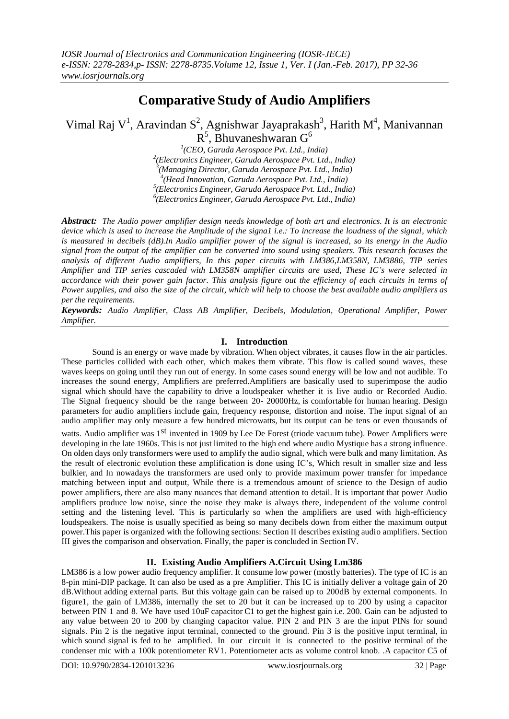# **Comparative Study of Audio Amplifiers**

Vimal Raj V<sup>1</sup>, Aravindan S<sup>2</sup>, Agnishwar Jayaprakash<sup>3</sup>, Harith M<sup>4</sup>, Manivannan  $R^5$ , Bhuvaneshwaran G<sup>6</sup>

 *(CEO, Garuda Aerospace Pvt. Ltd., India) (Electronics Engineer, Garuda Aerospace Pvt. Ltd., India) (Managing Director, Garuda Aerospace Pvt. Ltd., India) (Head Innovation, Garuda Aerospace Pvt. Ltd., India) (Electronics Engineer, Garuda Aerospace Pvt. Ltd., India) (Electronics Engineer, Garuda Aerospace Pvt. Ltd., India)*

*Abstract: The Audio power amplifier design needs knowledge of both art and electronics. It is an electronic device which is used to increase the Amplitude of the signa1 i.e.: To increase the loudness of the signal, which* is measured in decibels (dB). In Audio amplifier power of the signal is increased, so its energy in the Audio *signal from the output of the amplifier can be converted into sound using speakers. This research focuses the analysis of different Audio amplifiers, In this paper circuits with LM386,LM358N, LM3886, TIP series Amplifier and TIP series cascaded with LM358N amplifier circuits are used, These IC's were selected in accordance with their power gain factor. This analysis figure out the efficiency of each circuits in terms of* Power supplies, and also the size of the circuit, which will help to choose the best available audio amplifiers as *per the requirements.*

*Keywords: Audio Amplifier, Class AB Amplifier, Decibels, Modulation, Operational Amplifier, Power Amplifier.*

# **I. Introduction**

Sound is an energy or wave made by vibration. When object vibrates, it causes flow in the air particles. These particles collided with each other, which makes them vibrate. This flow is called sound waves, these waves keeps on going until they run out of energy. In some cases sound energy will be low and not audible. To increases the sound energy, Amplifiers are preferred.Amplifiers are basically used to superimpose the audio signal which should have the capability to drive a loudspeaker whether it is live audio or Recorded Audio. The Signal frequency should be the range between 20- 20000Hz, is comfortable for human hearing. Design parameters for audio amplifiers include gain, frequency response, distortion and noise. The input signal of an audio amplifier may only measure a few hundred microwatts, but its output can be tens or even thousands of watts. Audio amplifier was 1<sup>st</sup> invented in 1909 by Lee De Forest (triode vacuum tube). Power Amplifiers were developing in the late 1960s. This is not just limited to the high end where audio Mystique has a strong influence. On olden days only transformers were used to amplify the audio signal, which were bulk and many limitation. As the result of electronic evolution these amplification is done using IC's, Which result in smaller size and less bulkier, and In nowadays the transformers are used only to provide maximum power transfer for impedance matching between input and output, While there is a tremendous amount of science to the Design of audio power amplifiers, there are also many nuances that demand attention to detail. It is important that power Audio amplifiers produce low noise, since the noise they make is always there, independent of the volume control setting and the listening level. This is particularly so when the amplifiers are used with high-efficiency loudspeakers. The noise is usually specified as being so many decibels down from either the maximum output power.This paper is organized with the following sections: Section II describes existing audio amplifiers. Section III gives the comparison and observation. Finally, the paper is concluded in Section IV.

# **II. Existing Audio Amplifiers A.Circuit Using Lm386**

LM386 is a low power audio frequency amplifier. It consume low power (mostly batteries). The type of IC is an 8-pin mini-DIP package. It can also be used as a pre Amplifier. This IC is initially deliver a voltage gain of 20 dB.Without adding external parts. But this voltage gain can be raised up to 200dB by external components. In figure1, the gain of LM386, internally the set to 20 but it can be increased up to 200 by using a capacitor between PIN 1 and 8. We have used 10uF capacitor C1 to get the highest gain i.e. 200. Gain can be adjusted to any value between 20 to 200 by changing capacitor value. PIN 2 and PIN 3 are the input PINs for sound signals. Pin 2 is the negative input terminal, connected to the ground. Pin 3 is the positive input terminal, in which sound signal is fed to be amplified. In our circuit it is connected to the positive terminal of the condenser mic with a 100k potentiometer RV1. Potentiometer acts as volume control knob. .A capacitor C5 of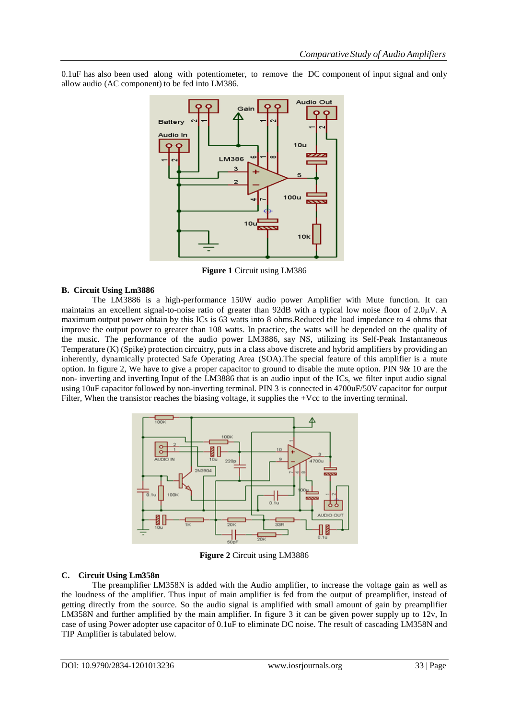0.1uF has also been used along with potentiometer, to remove the DC component of input signal and only allow audio (AC component) to be fed into LM386.



**Figure 1** Circuit using LM386

#### **B. Circuit Using Lm3886**

The LM3886 is a high-performance 150W audio power Amplifier with Mute function. It can maintains an excellent signal-to-noise ratio of greater than 92dB with a typical low noise floor of 2.0μV. A maximum output power obtain by this ICs is 63 watts into 8 ohms.Reduced the load impedance to 4 ohms that improve the output power to greater than 108 watts. In practice, the watts will be depended on the quality of the music. The performance of the audio power LM3886, say NS, utilizing its Self-Peak Instantaneous Temperature (K) (Spike) protection circuitry, puts in a class above discrete and hybrid amplifiers by providing an inherently, dynamically protected Safe Operating Area (SOA).The special feature of this amplifier is a mute option. In figure 2, We have to give a proper capacitor to ground to disable the mute option. PIN 9& 10 are the non- inverting and inverting Input of the LM3886 that is an audio input of the ICs, we filter input audio signal using 10uF capacitor followed by non-inverting terminal. PIN 3 is connected in 4700uF/50V capacitor for output Filter, When the transistor reaches the biasing voltage, it supplies the +Vcc to the inverting terminal.



**Figure 2** Circuit using LM3886

#### **C. Circuit Using Lm358n**

The preamplifier LM358N is added with the Audio amplifier, to increase the voltage gain as well as the loudness of the amplifier. Thus input of main amplifier is fed from the output of preamplifier, instead of getting directly from the source. So the audio signal is amplified with small amount of gain by preamplifier LM358N and further amplified by the main amplifier. In figure 3 it can be given power supply up to 12v, In case of using Power adopter use capacitor of 0.1uF to eliminate DC noise. The result of cascading LM358N and TIP Amplifier is tabulated below.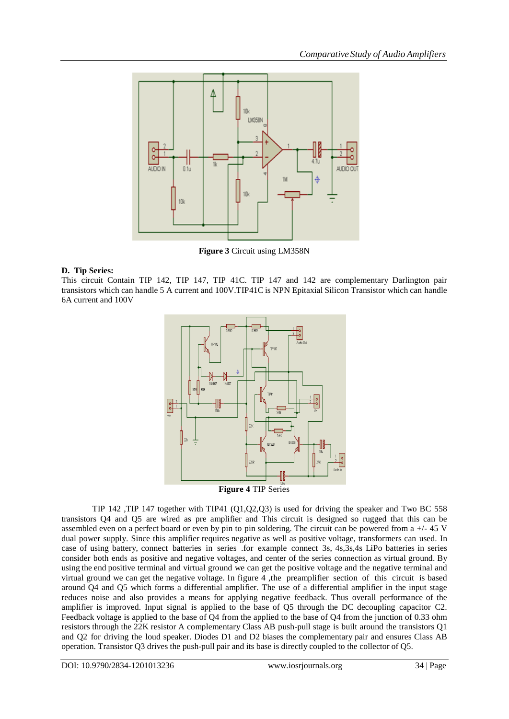

**Figure 3** Circuit using LM358N

# **D. Tip Series:**

This circuit Contain TIP 142, TIP 147, TIP 41C. TIP 147 and 142 are complementary Darlington pair transistors which can handle 5 A current and 100V.TIP41C is NPN Epitaxial Silicon Transistor which can handle 6A current and 100V



**Figure 4** TIP Series

TIP 142 ,TIP 147 together with TIP41 (Q1,Q2,Q3) is used for driving the speaker and Two BC 558 transistors Q4 and Q5 are wired as pre amplifier and This circuit is designed so rugged that this can be assembled even on a perfect board or even by pin to pin soldering. The circuit can be powered from a +/- 45 V dual power supply. Since this amplifier requires negative as well as positive voltage, transformers can used. In case of using battery, connect batteries in series .for example connect 3s, 4s,3s,4s LiPo batteries in series consider both ends as positive and negative voltages, and center of the series connection as virtual ground. By using the end positive terminal and virtual ground we can get the positive voltage and the negative terminal and virtual ground we can get the negative voltage. In figure 4 ,the preamplifier section of this circuit is based around Q4 and Q5 which forms a differential amplifier. The use of a differential amplifier in the input stage reduces noise and also provides a means for applying negative feedback. Thus overall performance of the amplifier is improved. Input signal is applied to the base of Q5 through the DC decoupling capacitor C2. Feedback voltage is applied to the base of Q4 from the applied to the base of Q4 from the junction of 0.33 ohm resistors through the 22K resistor A complementary Class AB push-pull stage is built around the transistors Q1 and Q2 for driving the loud speaker. Diodes D1 and D2 biases the complementary pair and ensures Class AB operation. Transistor Q3 drives the push-pull pair and its base is directly coupled to the collector of Q5.

DOI: 10.9790/2834-1201013236 www.iosrjournals.org 34 | Page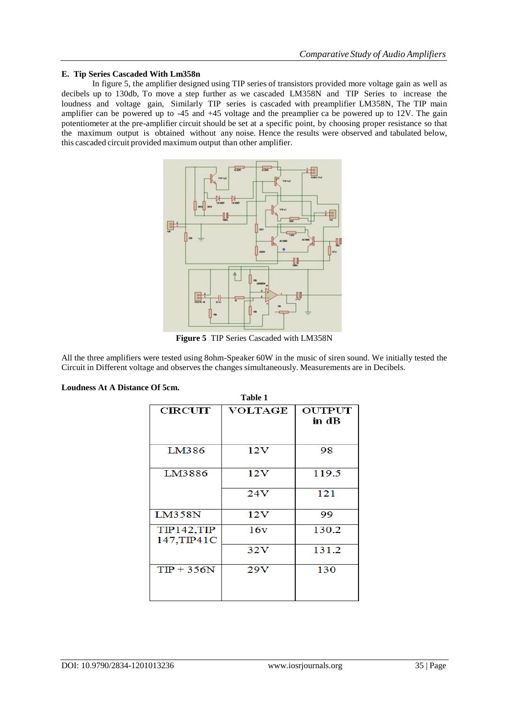### **E. Tip Series Cascaded With Lm358n**

In figure 5, the amplifier designed using TIP series of transistors provided more voltage gain as well as decibels up to 130db, To move a step further as we cascaded LM358N and TIP Series to increase the loudness and voltage gain, Similarly TIP series is cascaded with preamplifier LM358N, The TIP main amplifier can be powered up to -45 and +45 voltage and the preamplier ca be powered up to 12V. The gain potentiometer at the pre-amplifier circuit should be set at a specific point, by choosing proper resistance so that the maximum output is obtained without any noise. Hence the results were observed and tabulated below, this cascaded circuit provided maximum output than other amplifier.



**Figure 5** TIP Series Cascaded with LM358N

All the three amplifiers were tested using 8ohm-Speaker 60W in the music of siren sound. We initially tested the Circuit in Different voltage and observes the changes simultaneously. Measurements are in Decibels.

| <b>Table 1</b>             |                |                 |  |
|----------------------------|----------------|-----------------|--|
| CIRCUIT                    | <b>VOLTAGE</b> | OUTPUT<br>in dB |  |
| LM386                      | 12V            | 98              |  |
| LM3886                     | 12V            | 119.5           |  |
|                            | 24V            | 121             |  |
| LM358N                     | 12V            | 99              |  |
| TIP142, TIP<br>147, TIP41C | 16v            | 130.2           |  |
|                            | 32V            | 131.2           |  |
| $TP + 356N$                | 29V            | 130             |  |

# **Loudness At A Distance Of 5cm.**